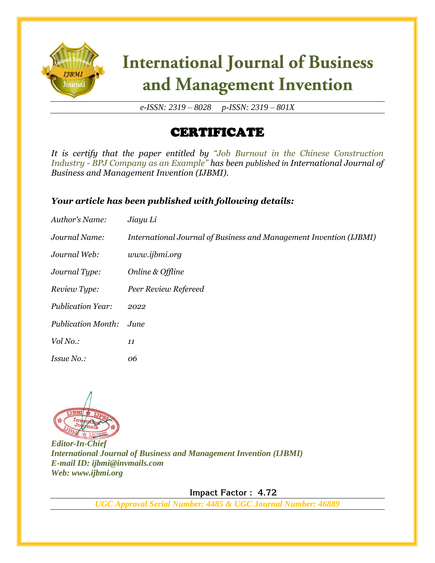

# **International Journal of Business** and Management Invention

*e-ISSN: 2319 – 8028 p-ISSN: 2319 – 801X*

### CERTIFICATE

*It is certify that the paper entitled by "Job Burnout in the Chinese Construction Industry - BPJ Company as an Example" has been published in International Journal of Business and Management Invention (IJBMI).*

#### *Your article has been published with following details:*

| Author's Name:            | Jiayu Li                                                           |
|---------------------------|--------------------------------------------------------------------|
| Journal Name:             | International Journal of Business and Management Invention (IJBMI) |
| Journal Web:              | www.ijbmi.org                                                      |
| Journal Type:             | Online & Offline                                                   |
| Review Type:              | Peer Review Refereed                                               |
| <b>Publication Year:</b>  | 2022                                                               |
| <b>Publication Month:</b> | June                                                               |
| Vol No.:                  | 11                                                                 |
| <i>Issue No.:</i>         | 06                                                                 |



*Editor-In-Chief International Journal of Business and Management Invention (IJBMI) E-mail ID: ijbmi@invmails.com Web: www.ijbmi.org*

 **Impact Factor : 4.72** 

*UGC Approval Serial Number: 4485 & UGC Journal Number: 46889*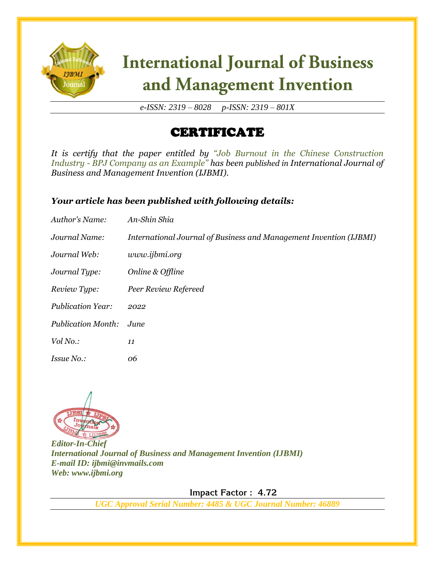

# **International Journal of Business** and Management Invention

*e-ISSN: 2319 – 8028 p-ISSN: 2319 – 801X*

### CERTIFICATE

*It is certify that the paper entitled by "Job Burnout in the Chinese Construction Industry - BPJ Company as an Example" has been published in International Journal of Business and Management Invention (IJBMI).*

#### *Your article has been published with following details:*

| Author's Name:            | An-Shin Shia                                                       |
|---------------------------|--------------------------------------------------------------------|
| Journal Name:             | International Journal of Business and Management Invention (IJBMI) |
| Journal Web:              | www.ijbmi.org                                                      |
| Journal Type:             | Online & Offline                                                   |
| Review Type:              | Peer Review Refereed                                               |
| <b>Publication Year:</b>  | 2022                                                               |
| <b>Publication Month:</b> | June                                                               |
| Vol No.:                  | 11                                                                 |
| <i>Issue No.:</i>         | 06                                                                 |



*Editor-In-Chief International Journal of Business and Management Invention (IJBMI) E-mail ID: ijbmi@invmails.com Web: www.ijbmi.org*

 **Impact Factor : 4.72** 

*UGC Approval Serial Number: 4485 & UGC Journal Number: 46889*